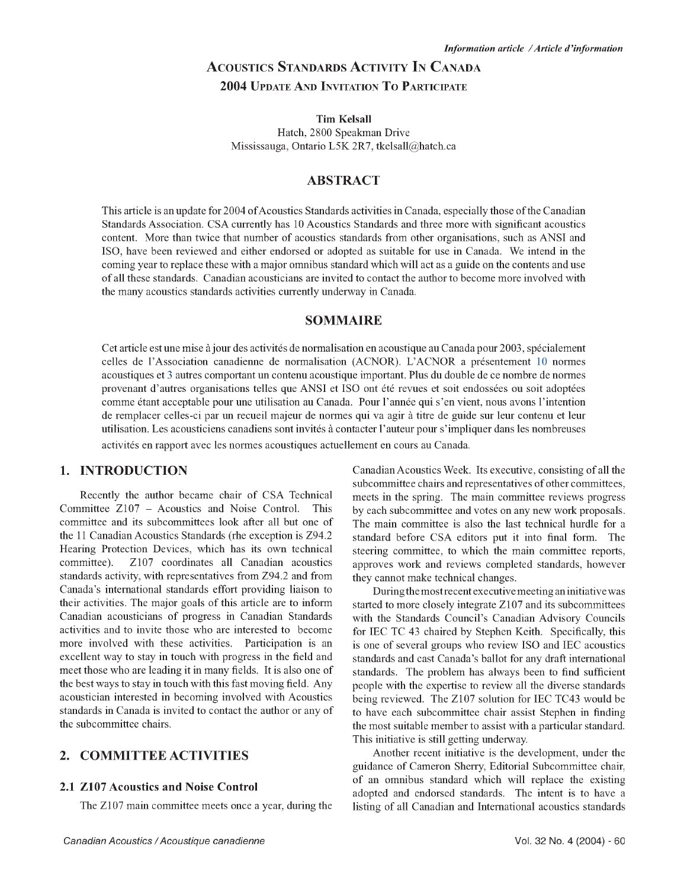# **A c o u st ic s S t a n d a r d s A c tiv it y I n C a n a d a 2004 Update And Invitation T o Participate**

#### **Tim Kelsall**

Hatch, 2800 Speakman Drive Mississauga, Ontario L5K 2R7, [tkelsall@hatch.ca](mailto:tkelsall@hatch.ca)

#### **ABSTRACT**

This article is an update for 2004 of Acoustics Standards activities in Canada, especially those of the Canadian Standards Association. CSA currently has 10 Acoustics Standards and three more with significant acoustics content. More than twice that number of acoustics standards from other organisations, such as ANSI and ISO, have been reviewed and either endorsed or adopted as suitable for use in Canada. We intend in the coming year to replace these with a major omnibus standard which will act as a guide on the contents and use of all these standards. Canadian acousticians are invited to contact the author to become more involved with the many acoustics standards activities currently underway in Canada.

#### **SOMMAIRE**

Cet article est une mise à jour des activités de normalisation en acoustique au Canada pour 2003, spécialement celles de l'Association canadienne de normalisation (ACNOR). L'ACNOR a présentement 10 normes acoustiques et 3 autres comportant un contenu acoustique important. Plus du double de ce nombre de normes provenant d'autres organisations telles que ANSI et ISO ont été revues et soit endossées ou soit adoptées comme étant acceptable pour une utilisation au Canada. Pour l'année qui s'en vient, nous avons l'intention de remplacer celles-ci par un recueil majeur de normes qui va agir à titre de guide sur leur contenu et leur utilisation. Les acousticiens canadiens sont invités à contacter l'auteur pour s'impliquer dans les nombreuses activités en rapport avec les normes acoustiques actuellement en cours au Canada.

#### **1. INTRODUCTION**

Recently the author became chair of CSA Technical Committee Z107 - Acoustics and Noise Control. This committee and its subcommittees look after all but one of the 11 Canadian Acoustics Standards (rhe exception is Z94.2 Hearing Protection Devices, which has its own technical committee). Z107 coordinates all Canadian acoustics standards activity, with representatives from Z94.2 and from Canada's international standards effort providing liaison to their activities. The major goals of this article are to inform Canadian acousticians of progress in Canadian Standards activities and to invite those who are interested to become more involved with these activities. Participation is an excellent way to stay in touch with progress in the field and meet those who are leading it in many fields. It is also one of the best ways to stay in touch with this fast moving field. Any acoustician interested in becoming involved with Acoustics standards in Canada is invited to contact the author or any of the subcommittee chairs.

#### **2. c o m m i t t e e a c t i v i t i e s**

#### **2.1 Z107 Acoustics and Noise Control**

The Z107 main committee meets once a year, during the

Canadian Acoustics Week. Its executive, consisting of all the subcommittee chairs and representatives of other committees, meets in the spring. The main committee reviews progress by each subcommittee and votes on any new work proposals. The main committee is also the last technical hurdle for a standard before CSA editors put it into final form. The steering committee, to which the main committee reports, approves work and reviews completed standards, however they cannot make technical changes.

During the most recent executive meeting an initiative was started to more closely integrate Z107 and its subcommittees with the Standards Council's Canadian Advisory Councils for IEC TC 43 chaired by Stephen Keith. Specifically, this is one of several groups who review ISO and IEC acoustics standards and cast Canada's ballot for any draft international standards. The problem has always been to find sufficient people with the expertise to review all the diverse standards being reviewed. The Z107 solution for IEC TC43 would be to have each subcommittee chair assist Stephen in finding the most suitable member to assist with a particular standard. This initiative is still getting underway.

Another recent initiative is the development, under the guidance of Cameron Sherry, Editorial Subcommittee chair, of an omnibus standard which will replace the existing adopted and endorsed standards. The intent is to have a listing of all Canadian and International acoustics standards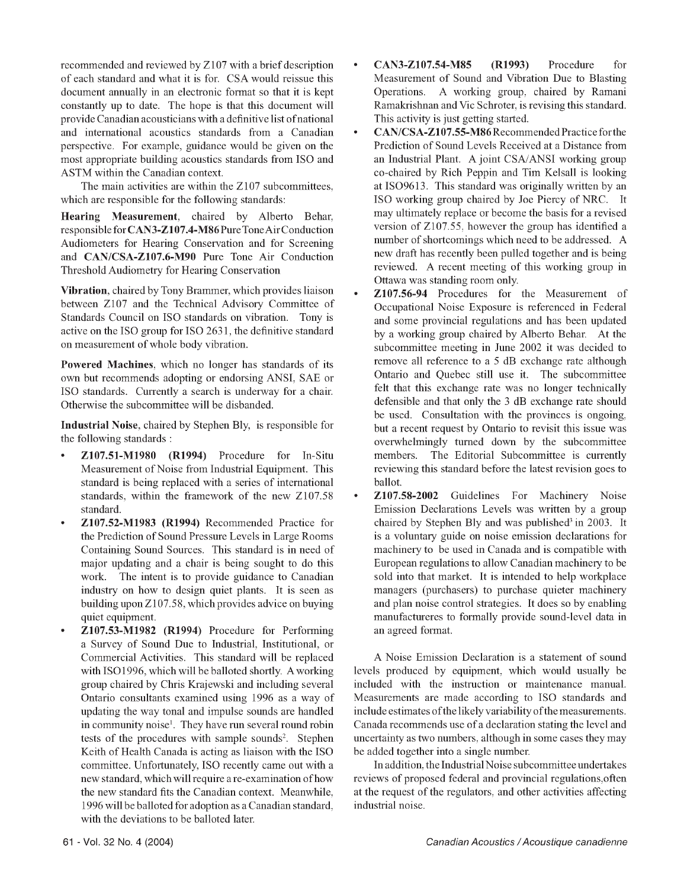recommended and reviewed by Z107 with a brief description of each standard and what it is for. CSA would reissue this document annually in an electronic format so that it is kept constantly up to date. The hope is that this document will provide Canadian acousticians with a definitive list ofnational and international acoustics standards from a Canadian perspective. For example, guidance would be given on the most appropriate building acoustics standards from ISO and ASTM within the Canadian context.

The main activities are within the Z107 subcommittees, which are responsible for the following standards:

Hearing Measurement, chaired by Alberto Behar, responsible for CAN3-Z107.4-M86 Pure Tone Air Conduction Audiometers for Hearing Conservation and for Screening and CAN/CSA-Z107.6-M90 Pure Tone Air Conduction Threshold Audiometry for Hearing Conservation

Vibration, chaired by Tony Brammer, which provides liaison between Z107 and the Technical Advisory Committee of Standards Council on ISO standards on vibration. Tony is active on the ISO group for ISO 2631, the definitive standard on measurement of whole body vibration.

Powered Machines, which no longer has standards of its own but recommends adopting or endorsing ANSI, SAE or ISO standards. Currently a search is underway for a chair. Otherwise the subcommittee will be disbanded.

Industrial Noise, chaired by Stephen Bly, is responsible for the following standards :

- Z107.51-M1980 (R1994) Procedure for In-Situ Measurement of Noise from Industrial Equipment. This standard is being replaced with a series of international standards, within the framework of the new Z107.58 standard.
- Z107.52-M1983 (R1994) Recommended Practice for the Prediction of Sound Pressure Levels in Large Rooms Containing Sound Sources. This standard is in need of major updating and a chair is being sought to do this work. The intent is to provide guidance to Canadian industry on how to design quiet plants. It is seen as building upon Z107.58, which provides advice on buying quiet equipment.
- Z107.53-M1982 (R1994) Procedure for Performing a Survey of Sound Due to Industrial, Institutional, or Commercial Activities. This standard will be replaced with ISO1996, which will be balloted shortly. A working group chaired by Chris Krajewski and including several Ontario consultants examined using 1996 as a way of updating the way tonal and impulse sounds are handled in community noise<sup>1</sup>. They have run several round robin tests of the procedures with sample sounds<sup>2</sup>. Stephen Keith of Health Canada is acting as liaison with the ISO committee. Unfortunately, ISO recently came out with a new standard, which will require a re-examination of how the new standard fits the Canadian context. Meanwhile, 1996 will be balloted for adoption as a Canadian standard, with the deviations to be balloted later.
- CAN3-Z107.54-M85 (R1993) Procedure for Measurement of Sound and Vibration Due to Blasting Operations. A working group, chaired by Ramani Ramakrishnan and Vic Schroter, is revising this standard. This activity is just getting started.
- CAN/CSA-Z107.55-M86 Recommended Practice for the Prediction of Sound Levels Received at a Distance from an Industrial Plant. A joint CSA/ANSI working group co-chaired by Rich Peppin and Tim Kelsall is looking at ISO9613. This standard was originally written by an ISO working group chaired by Joe Piercy of NRC. It may ultimately replace or become the basis for a revised version of Z107.55, however the group has identified a number of shortcomings which need to be addressed. A new draft has recently been pulled together and is being reviewed. A recent meeting of this working group in Ottawa was standing room only.
- Z107.56-94 Procedures for the Measurement of Occupational Noise Exposure is referenced in Federal and some provincial regulations and has been updated by a working group chaired by Alberto Behar. At the subcommittee meeting in June 2002 it was decided to remove all reference to a 5 dB exchange rate although Ontario and Quebec still use it. The subcommittee felt that this exchange rate was no longer technically defensible and that only the 3 dB exchange rate should be used. Consultation with the provinces is ongoing, but a recent request by Ontario to revisit this issue was overwhelmingly turned down by the subcommittee members. The Editorial Subcommittee is currently reviewing this standard before the latest revision goes to ballot.
- Z107.58-2002 Guidelines For Machinery Noise Emission Declarations Levels was written by a group chaired by Stephen Bly and was published<sup>3</sup> in 2003. It is a voluntary guide on noise emission declarations for machinery to be used in Canada and is compatible with European regulations to allow Canadian machinery to be sold into that market. It is intended to help workplace managers (purchasers) to purchase quieter machinery and plan noise control strategies. It does so by enabling manufactureres to formally provide sound-level data in an agreed format.

A Noise Emission Declaration is a statement of sound levels produced by equipment, which would usually be included with the instruction or maintenance manual. Measurements are made according to ISO standards and include estimates of the likely variability of the measurements. Canada recommends use of a declaration stating the level and uncertainty as two numbers, although in some cases they may be added together into a single number.

In addition, the Industrial Noise subcommittee undertakes reviews of proposed federal and provincial regulations,often at the request of the regulators, and other activities affecting industrial noise.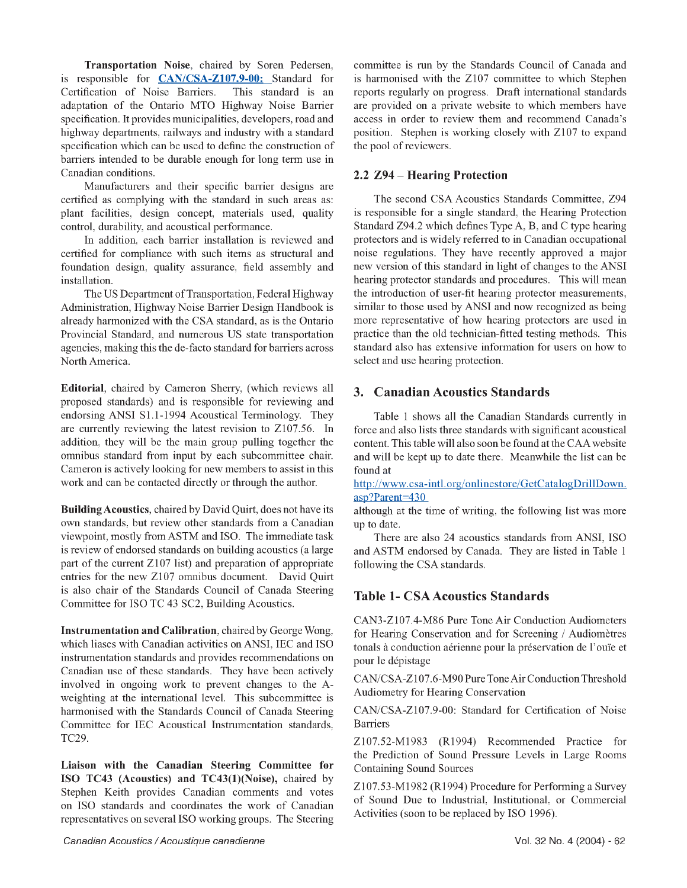Transportation Noise, chaired by Soren Pedersen, is responsible for **CAN/CSA-Z107.9-00:** Standard for Certification of Noise Barriers. This standard is an adaptation of the Ontario MTO Highway Noise Barrier specification. It provides municipalities, developers, road and highway departments, railways and industry with a standard specification which can be used to define the construction of barriers intended to be durable enough for long term use in Canadian conditions.

Manufacturers and their specific barrier designs are certified as complying with the standard in such areas as: plant facilities, design concept, materials used, quality control, durability, and acoustical performance.

In addition, each barrier installation is reviewed and certified for compliance with such items as structural and foundation design, quality assurance, field assembly and installation.

The US Department of Transportation, Federal Highway Administration, Highway Noise Barrier Design Handbook is already harmonized with the CSA standard, as is the Ontario Provincial Standard, and numerous US state transportation agencies, making this the de-facto standard for barriers across North America.

Editorial, chaired by Cameron Sherry, (which reviews all proposed standards) and is responsible for reviewing and endorsing ANSI S1.1-1994 Acoustical Terminology. They are currently reviewing the latest revision to Z107.56. In addition, they will be the main group pulling together the omnibus standard from input by each subcommittee chair. Cameron is actively looking for new members to assist in this work and can be contacted directly or through the author.

Building Acoustics, chaired by David Quirt, does not have its own standards, but review other standards from a Canadian viewpoint, mostly from ASTM and ISO. The immediate task is review of endorsed standards on building acoustics (a large part of the current Z107 list) and preparation of appropriate entries for the new Z107 omnibus document. David Quirt is also chair of the Standards Council of Canada Steering Committee for ISO TC 43 SC2, Building Acoustics.

Instrum entation and Calibration, chaired by George Wong, which liases with Canadian activities on ANSI, IEC and ISO instrumentation standards and provides recommendations on Canadian use of these standards. They have been actively involved in ongoing work to prevent changes to the Aweighting at the international level. This subcommittee is harmonised with the Standards Council of Canada Steering Committee for IEC Acoustical Instrumentation standards, TC29.

Liaison with the Canadian Steering Committee for ISO TC43 (Acoustics) and TC43(1)(Noise), chaired by Stephen Keith provides Canadian comments and votes on ISO standards and coordinates the work of Canadian representatives on several ISO working groups. The Steering committee is run by the Standards Council of Canada and is harmonised with the Z107 committee to which Stephen reports regularly on progress. Draft international standards are provided on a private website to which members have access in order to review them and recommend Canada's position. Stephen is working closely with Z107 to expand the pool of reviewers.

#### **2.2 Z94 - Hearing Protection**

The second CSA Acoustics Standards Committee, Z94 is responsible for a single standard, the Hearing Protection Standard Z94.2 which defines Type A, B, and C type hearing protectors and is widely referred to in Canadian occupational noise regulations. They have recently approved a major new version of this standard in light of changes to the ANSI hearing protector standards and procedures. This will mean the introduction of user-fit hearing protector measurements, similar to those used by ANSI and now recognized as being more representative of how hearing protectors are used in practice than the old technician-fitted testing methods. This standard also has extensive information for users on how to select and use hearing protection.

### **3. Canadian Acoustics Standards**

Table 1 shows all the Canadian Standards currently in force and also lists three standards with significant acoustical content. This table will also soon be found at the CAA website and will be kept up to date there. Meanwhile the list can be found at

<http://www.csa-intl.org/onlinestore/GetCatalogDrillDown>. asp?Parent=430

although at the time of writing, the following list was more up to date.

There are also 24 acoustics standards from ANSI, ISO and ASTM endorsed by Canada. They are listed in Table 1 following the CSA standards.

## **Table 1- CSA Acoustics Standards**

CAN3-Z107.4-M86 Pure Tone Air Conduction Audiometers for Hearing Conservation and for Screening / Audiomètres tonals à conduction aérienne pour la préservation de l'ouïe et pour le dépistage

CAN/CSA-Z107.6-M90 Pure Tone Air Conduction Threshold Audiometry for Hearing Conservation

CAN/CSA-Z107.9-00: Standard for Certification of Noise Barriers

Z107.52-M1983 (R1994) Recommended Practice for the Prediction of Sound Pressure Levels in Large Rooms Containing Sound Sources

Z107.53-M1982 (R1994) Procedure for Performing a Survey of Sound Due to Industrial, Institutional, or Commercial Activities (soon to be replaced by ISO 1996).